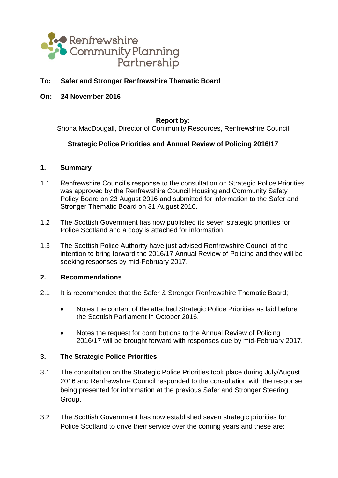

# **To: Safer and Stronger Renfrewshire Thematic Board**

**On: 24 November 2016**

#### **Report by:**

Shona MacDougall, Director of Community Resources, Renfrewshire Council

# **Strategic Police Priorities and Annual Review of Policing 2016/17**

#### **1. Summary**

- 1.1 Renfrewshire Council's response to the consultation on Strategic Police Priorities was approved by the Renfrewshire Council Housing and Community Safety Policy Board on 23 August 2016 and submitted for information to the Safer and Stronger Thematic Board on 31 August 2016.
- 1.2 The Scottish Government has now published its seven strategic priorities for Police Scotland and a copy is attached for information.
- 1.3 The Scottish Police Authority have just advised Renfrewshire Council of the intention to bring forward the 2016/17 Annual Review of Policing and they will be seeking responses by mid-February 2017.

#### **2. Recommendations**

- 2.1 It is recommended that the Safer & Stronger Renfrewshire Thematic Board;
	- Notes the content of the attached Strategic Police Priorities as laid before the Scottish Parliament in October 2016.
	- Notes the request for contributions to the Annual Review of Policing 2016/17 will be brought forward with responses due by mid-February 2017.

# **3. The Strategic Police Priorities**

- 3.1 The consultation on the Strategic Police Priorities took place during July/August 2016 and Renfrewshire Council responded to the consultation with the response being presented for information at the previous Safer and Stronger Steering Group.
- 3.2 The Scottish Government has now established seven strategic priorities for Police Scotland to drive their service over the coming years and these are: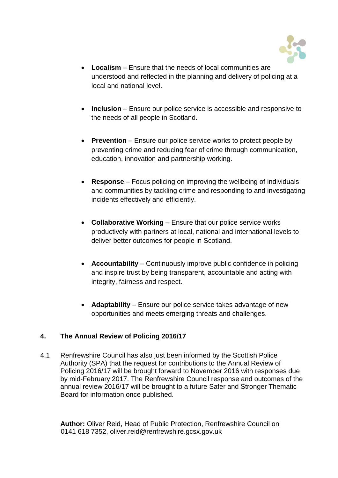

- **Localism**  Ensure that the needs of local communities are understood and reflected in the planning and delivery of policing at a local and national level.
- **Inclusion** Ensure our police service is accessible and responsive to the needs of all people in Scotland.
- **Prevention** Ensure our police service works to protect people by preventing crime and reducing fear of crime through communication, education, innovation and partnership working.
- **Response**  Focus policing on improving the wellbeing of individuals and communities by tackling crime and responding to and investigating incidents effectively and efficiently.
- **Collaborative Working Ensure that our police service works** productively with partners at local, national and international levels to deliver better outcomes for people in Scotland.
- Accountability Continuously improve public confidence in policing and inspire trust by being transparent, accountable and acting with integrity, fairness and respect.
- **Adaptability** Ensure our police service takes advantage of new opportunities and meets emerging threats and challenges.

# **4. The Annual Review of Policing 2016/17**

4.1 Renfrewshire Council has also just been informed by the Scottish Police Authority (SPA) that the request for contributions to the Annual Review of Policing 2016/17 will be brought forward to November 2016 with responses due by mid-February 2017. The Renfrewshire Council response and outcomes of the annual review 2016/17 will be brought to a future Safer and Stronger Thematic Board for information once published.

**Author:** Oliver Reid, Head of Public Protection, Renfrewshire Council on 0141 618 7352, oliver.reid@renfrewshire.gcsx.gov.uk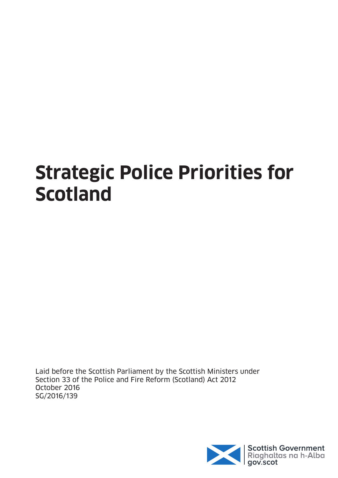# **Strategic Police Priorities for Scotland**

Laid before the Scottish Parliament by the Scottish Ministers under Section 33 of the Police and Fire Reform (Scotland) Act 2012 October 2016 SG/2016/139

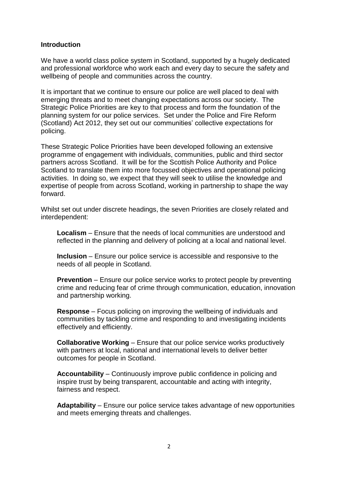## **Introduction**

We have a world class police system in Scotland, supported by a hugely dedicated and professional workforce who work each and every day to secure the safety and wellbeing of people and communities across the country.

It is important that we continue to ensure our police are well placed to deal with emerging threats and to meet changing expectations across our society. The Strategic Police Priorities are key to that process and form the foundation of the planning system for our police services. Set under the Police and Fire Reform (Scotland) Act 2012, they set out our communities" collective expectations for policing.

These Strategic Police Priorities have been developed following an extensive programme of engagement with individuals, communities, public and third sector partners across Scotland. It will be for the Scottish Police Authority and Police Scotland to translate them into more focussed objectives and operational policing activities. In doing so, we expect that they will seek to utilise the knowledge and expertise of people from across Scotland, working in partnership to shape the way forward.

Whilst set out under discrete headings, the seven Priorities are closely related and interdependent:

**Localism** – Ensure that the needs of local communities are understood and reflected in the planning and delivery of policing at a local and national level.

**Inclusion** – Ensure our police service is accessible and responsive to the needs of all people in Scotland.

**Prevention** – Ensure our police service works to protect people by preventing crime and reducing fear of crime through communication, education, innovation and partnership working.

**Response** – Focus policing on improving the wellbeing of individuals and communities by tackling crime and responding to and investigating incidents effectively and efficiently.

**Collaborative Working** – Ensure that our police service works productively with partners at local, national and international levels to deliver better outcomes for people in Scotland.

**Accountability** – Continuously improve public confidence in policing and inspire trust by being transparent, accountable and acting with integrity, fairness and respect.

**Adaptability** – Ensure our police service takes advantage of new opportunities and meets emerging threats and challenges.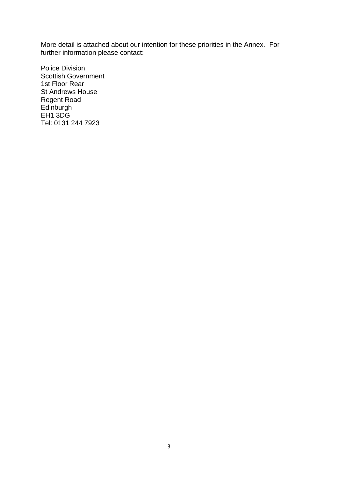More detail is attached about our intention for these priorities in the Annex. For further information please contact:

Police Division Scottish Government 1st Floor Rear St Andrews House Regent Road **Edinburgh** EH<sub>1</sub> 3D<sub>G</sub> Tel: 0131 244 7923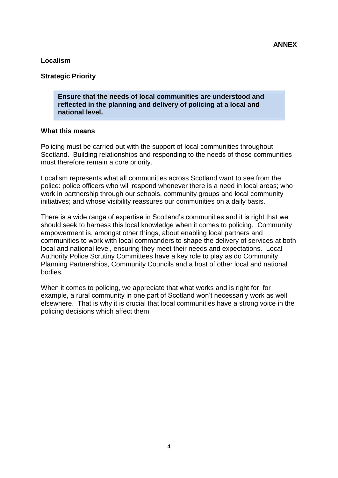# **Localism**

# **Strategic Priority**

**Ensure that the needs of local communities are understood and reflected in the planning and delivery of policing at a local and national level.**

#### **What this means**

Policing must be carried out with the support of local communities throughout Scotland. Building relationships and responding to the needs of those communities must therefore remain a core priority.

Localism represents what all communities across Scotland want to see from the police: police officers who will respond whenever there is a need in local areas; who work in partnership through our schools, community groups and local community initiatives; and whose visibility reassures our communities on a daily basis.

There is a wide range of expertise in Scotland"s communities and it is right that we should seek to harness this local knowledge when it comes to policing. Community empowerment is, amongst other things, about enabling local partners and communities to work with local commanders to shape the delivery of services at both local and national level, ensuring they meet their needs and expectations. Local Authority Police Scrutiny Committees have a key role to play as do Community Planning Partnerships, Community Councils and a host of other local and national bodies.

When it comes to policing, we appreciate that what works and is right for, for example, a rural community in one part of Scotland won"t necessarily work as well elsewhere. That is why it is crucial that local communities have a strong voice in the policing decisions which affect them.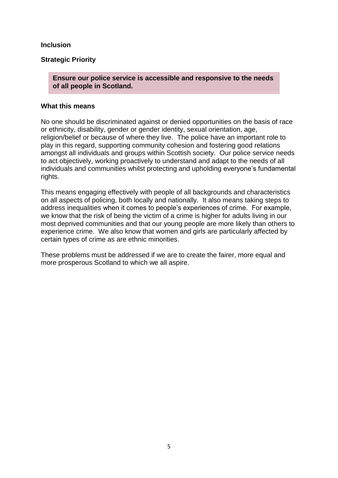# **Inclusion**

# **Strategic Priority**

**Ensure our police service is accessible and responsive to the needs of all people in Scotland.**

#### **What this means**

No one should be discriminated against or denied opportunities on the basis of race or ethnicity, disability, gender or gender identity, sexual orientation, age, religion/belief or because of where they live. The police have an important role to play in this regard, supporting community cohesion and fostering good relations amongst all individuals and groups within Scottish society. Our police service needs to act objectively, working proactively to understand and adapt to the needs of all individuals and communities whilst protecting and upholding everyone"s fundamental rights.

This means engaging effectively with people of all backgrounds and characteristics on all aspects of policing, both locally and nationally. It also means taking steps to address inequalities when it comes to people"s experiences of crime. For example, we know that the risk of being the victim of a crime is higher for adults living in our most deprived communities and that our young people are more likely than others to experience crime. We also know that women and girls are particularly affected by certain types of crime as are ethnic minorities.

These problems must be addressed if we are to create the fairer, more equal and more prosperous Scotland to which we all aspire.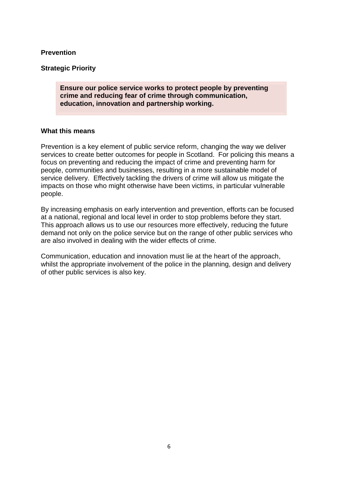#### **Prevention**

#### **Strategic Priority**

**Ensure our police service works to protect people by preventing crime and reducing fear of crime through communication, education, innovation and partnership working.** 

#### **What this means**

Prevention is a key element of public service reform, changing the way we deliver services to create better outcomes for people in Scotland. For policing this means a focus on preventing and reducing the impact of crime and preventing harm for people, communities and businesses, resulting in a more sustainable model of service delivery. Effectively tackling the drivers of crime will allow us mitigate the impacts on those who might otherwise have been victims, in particular vulnerable people.

By increasing emphasis on early intervention and prevention, efforts can be focused at a national, regional and local level in order to stop problems before they start. This approach allows us to use our resources more effectively, reducing the future demand not only on the police service but on the range of other public services who are also involved in dealing with the wider effects of crime.

Communication, education and innovation must lie at the heart of the approach, whilst the appropriate involvement of the police in the planning, design and delivery of other public services is also key.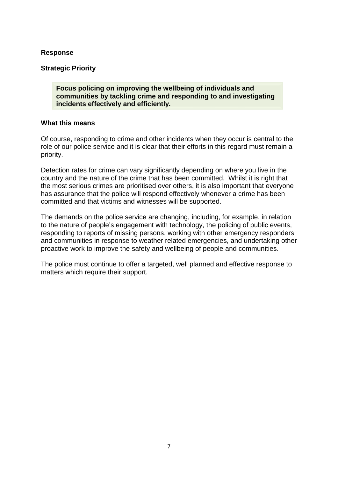#### **Response**

# **Strategic Priority**

**Focus policing on improving the wellbeing of individuals and communities by tackling crime and responding to and investigating incidents effectively and efficiently.**

#### **What this means**

Of course, responding to crime and other incidents when they occur is central to the role of our police service and it is clear that their efforts in this regard must remain a priority.

Detection rates for crime can vary significantly depending on where you live in the country and the nature of the crime that has been committed. Whilst it is right that the most serious crimes are prioritised over others, it is also important that everyone has assurance that the police will respond effectively whenever a crime has been committed and that victims and witnesses will be supported.

The demands on the police service are changing, including, for example, in relation to the nature of people"s engagement with technology, the policing of public events, responding to reports of missing persons, working with other emergency responders and communities in response to weather related emergencies, and undertaking other proactive work to improve the safety and wellbeing of people and communities.

The police must continue to offer a targeted, well planned and effective response to matters which require their support.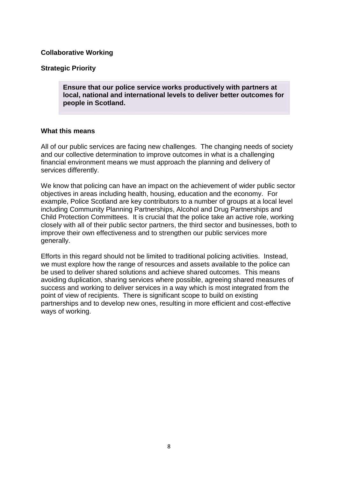# **Collaborative Working**

## **Strategic Priority**

**Ensure that our police service works productively with partners at local, national and international levels to deliver better outcomes for people in Scotland.**

#### **What this means**

All of our public services are facing new challenges. The changing needs of society and our collective determination to improve outcomes in what is a challenging financial environment means we must approach the planning and delivery of services differently.

We know that policing can have an impact on the achievement of wider public sector objectives in areas including health, housing, education and the economy. For example, Police Scotland are key contributors to a number of groups at a local level including Community Planning Partnerships, Alcohol and Drug Partnerships and Child Protection Committees. It is crucial that the police take an active role, working closely with all of their public sector partners, the third sector and businesses, both to improve their own effectiveness and to strengthen our public services more generally.

Efforts in this regard should not be limited to traditional policing activities. Instead, we must explore how the range of resources and assets available to the police can be used to deliver shared solutions and achieve shared outcomes. This means avoiding duplication, sharing services where possible, agreeing shared measures of success and working to deliver services in a way which is most integrated from the point of view of recipients. There is significant scope to build on existing partnerships and to develop new ones, resulting in more efficient and cost-effective ways of working.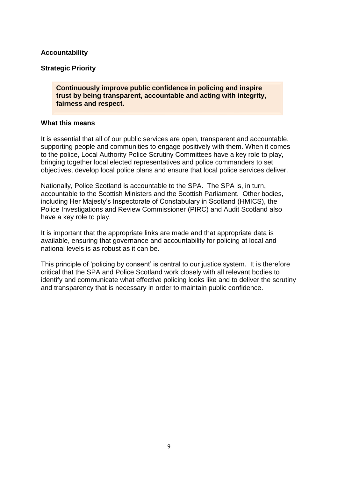# **Accountability**

#### **Strategic Priority**

**Continuously improve public confidence in policing and inspire trust by being transparent, accountable and acting with integrity, fairness and respect.**

#### **What this means**

It is essential that all of our public services are open, transparent and accountable, supporting people and communities to engage positively with them. When it comes to the police, Local Authority Police Scrutiny Committees have a key role to play, bringing together local elected representatives and police commanders to set objectives, develop local police plans and ensure that local police services deliver.

Nationally, Police Scotland is accountable to the SPA. The SPA is, in turn, accountable to the Scottish Ministers and the Scottish Parliament. Other bodies, including Her Majesty"s Inspectorate of Constabulary in Scotland (HMICS), the Police Investigations and Review Commissioner (PIRC) and Audit Scotland also have a key role to play.

It is important that the appropriate links are made and that appropriate data is available, ensuring that governance and accountability for policing at local and national levels is as robust as it can be.

This principle of 'policing by consent' is central to our justice system. It is therefore critical that the SPA and Police Scotland work closely with all relevant bodies to identify and communicate what effective policing looks like and to deliver the scrutiny and transparency that is necessary in order to maintain public confidence.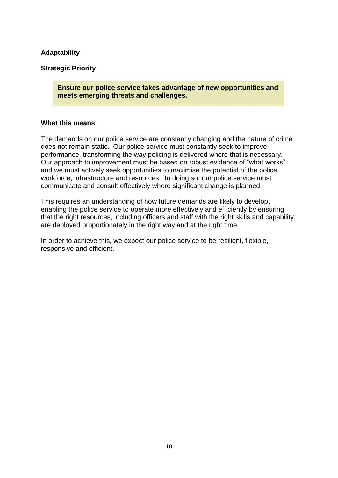# **Adaptability**

## **Strategic Priority**

**Ensure our police service takes advantage of new opportunities and meets emerging threats and challenges.**

#### **What this means**

The demands on our police service are constantly changing and the nature of crime does not remain static. Our police service must constantly seek to improve performance, transforming the way policing is delivered where that is necessary. Our approach to improvement must be based on robust evidence of "what works" and we must actively seek opportunities to maximise the potential of the police workforce, infrastructure and resources. In doing so, our police service must communicate and consult effectively where significant change is planned.

This requires an understanding of how future demands are likely to develop, enabling the police service to operate more effectively and efficiently by ensuring that the right resources, including officers and staff with the right skills and capability, are deployed proportionately in the right way and at the right time.

In order to achieve this, we expect our police service to be resilient, flexible, responsive and efficient.